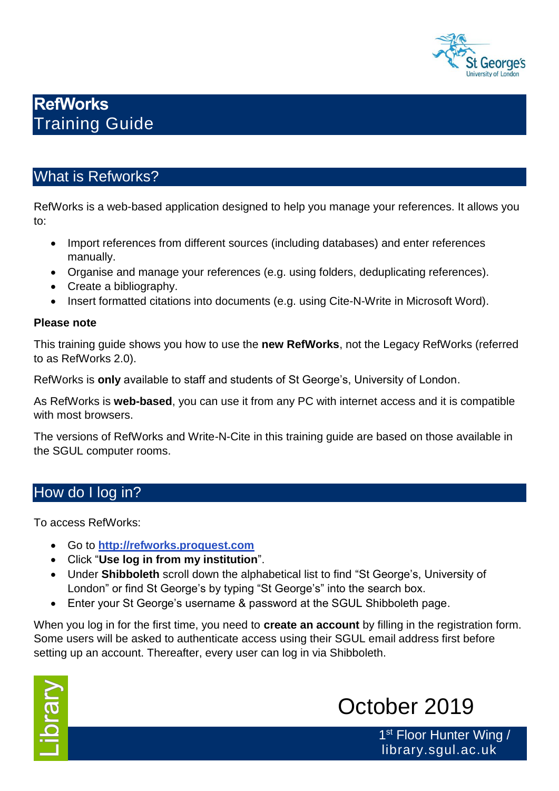

# **RefWorks**  Training Guide

# What is Refworks?

RefWorks is a web-based application designed to help you manage your references. It allows you to:

- Import references from different sources (including databases) and enter references manually.
- Organise and manage your references (e.g. using folders, deduplicating references).
- Create a bibliography.
- Insert formatted citations into documents (e.g. using Cite-N-Write in Microsoft Word).

#### **Please note**

This training guide shows you how to use the **new RefWorks**, not the Legacy RefWorks (referred to as RefWorks 2.0).

RefWorks is **only** available to staff and students of St George's, University of London.

As RefWorks is **web-based**, you can use it from any PC with internet access and it is compatible with most browsers.

The versions of RefWorks and Write-N-Cite in this training guide are based on those available in the SGUL computer rooms.

# How do I log in?

To access RefWorks:

- Go to **[http://refworks.proquest.com](http://refworks.proquest.com/)**
- Click "**Use log in from my institution**".
- Under **Shibboleth** scroll down the alphabetical list to find "St George's, University of London" or find St George's by typing "St George's" into the search box.
- Enter your St George's username & password at the SGUL Shibboleth page.

When you log in for the first time, you need to **create an account** by filling in the registration form. Some users will be asked to authenticate access using their SGUL email address first before setting up an account. Thereafter, every user can log in via Shibboleth.



# October 2019

1<sup>st</sup> Floor Hunter Wing / library.sgul.ac.uk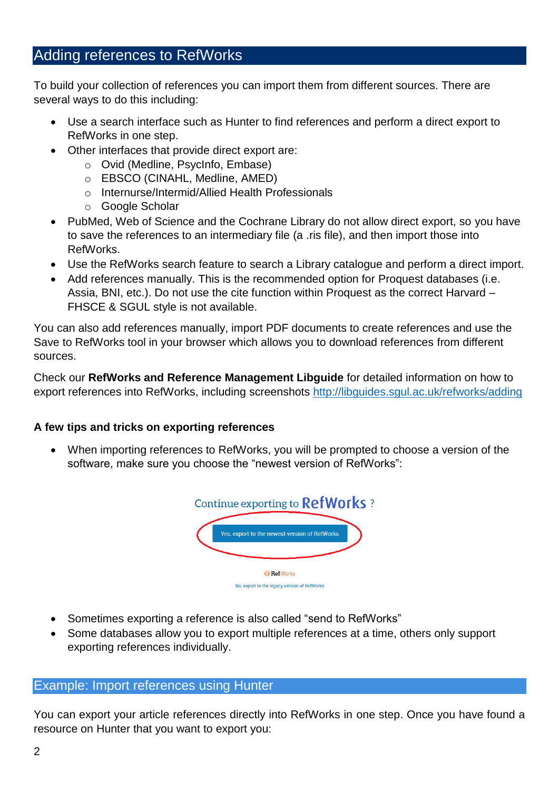# Adding references to RefWorks

To build your collection of references you can import them from different sources. There are several ways to do this including:

- Use a search interface such as Hunter to find references and perform a direct export to RefWorks in one step.
- Other interfaces that provide direct export are:
	- o Ovid (Medline, PsycInfo, Embase)
	- o EBSCO (CINAHL, Medline, AMED)
	- o Internurse/Intermid/Allied Health Professionals
	- o Google Scholar
- PubMed, Web of Science and the Cochrane Library do not allow direct export, so you have to save the references to an intermediary file (a .ris file), and then import those into RefWorks.
- Use the RefWorks search feature to search a Library catalogue and perform a direct import.
- Add references manually. This is the recommended option for Proquest databases (i.e. Assia, BNI, etc.). Do not use the cite function within Proquest as the correct Harvard – FHSCE & SGUL style is not available.

You can also add references manually, import PDF documents to create references and use the Save to RefWorks tool in your browser which allows you to download references from different sources.

Check our **RefWorks and Reference Management Libguide** for detailed information on how to export references into RefWorks, including screenshots<http://libguides.sgul.ac.uk/refworks/adding>

#### **A few tips and tricks on exporting references**

• When importing references to RefWorks, you will be prompted to choose a version of the software, make sure you choose the "newest version of RefWorks":



- Sometimes exporting a reference is also called "send to RefWorks"
- Some databases allow you to export multiple references at a time, others only support exporting references individually.

## Example: Import references using Hunter

You can export your article references directly into RefWorks in one step. Once you have found a resource on Hunter that you want to export you: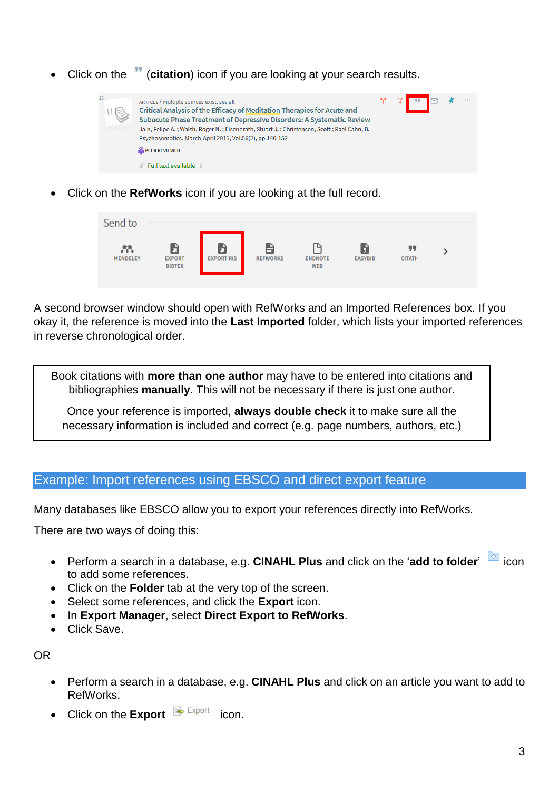• Click on the (**citation**) icon if you are looking at your search results.



• Click on the **RefWorks** icon if you are looking at the full record.



A second browser window should open with RefWorks and an Imported References box. If you okay it, the reference is moved into the **Last Imported** folder, which lists your imported references in reverse chronological order.

Book citations with **more than one author** may have to be entered into citations and bibliographies **manually**. This will not be necessary if there is just one author.

Once your reference is imported, **always double check** it to make sure all the necessary information is included and correct (e.g. page numbers, authors, etc.)

#### Example: Import references using EBSCO and direct export feature

Many databases like EBSCO allow you to export your references directly into RefWorks.

There are two ways of doing this:

- Perform a search in a database, e.g. **CINAHL Plus** and click on the 'add to folder' icon to add some references.
- Click on the **Folder** tab at the very top of the screen.
- Select some references, and click the **Export** icon.
- In **Export Manager**, select **Direct Export to RefWorks**.
- Click Save.

OR

- Perform a search in a database, e.g. **CINAHL Plus** and click on an article you want to add to RefWorks.
- Click on the **Export Export** icon.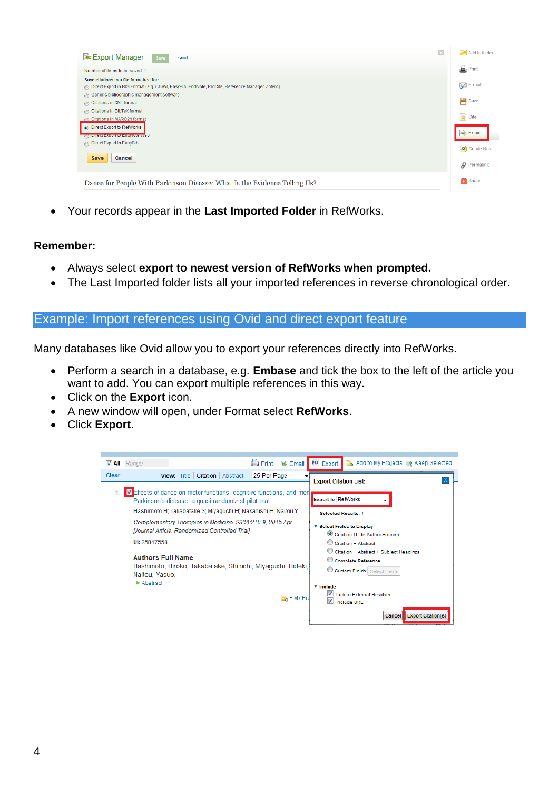| ×<br>Export Manager<br>E-mail<br>Save                                                                                                      | Add to folder        |
|--------------------------------------------------------------------------------------------------------------------------------------------|----------------------|
| Number of items to be saved: 1                                                                                                             | Print                |
| Save citations to a file formatted for:<br>Direct Export in RIS Format (e.g. CITAVI, EasyBib, EndNote, ProCite, Reference Manager, Zotero) |                      |
| Generic bibliographic management software<br>Citations in XML format                                                                       | <b>Exercise</b> Save |
| Citations in BibTeX format<br>Citations in MARC21 format                                                                                   | <b>B</b> Cite        |
| O Direct Export to RefWorks<br><b>Control Export to Ethelande AASD</b>                                                                     | Export               |
| Direct Export to EasyBib<br>Save<br>Cancel                                                                                                 | Create Note          |
|                                                                                                                                            | $\theta$ Permalink   |
| Dance for People With Parkinson Disease: What Is the Evidence Telling Us?                                                                  | <b>B</b> Share       |

• Your records appear in the **Last Imported Folder** in RefWorks.

#### **Remember:**

- Always select **export to newest version of RefWorks when prompted.**
- The Last Imported folder lists all your imported references in reverse chronological order.

#### Example: Import references using Ovid and direct export feature

Many databases like Ovid allow you to export your references directly into RefWorks.

- Perform a search in a database, e.g. **Embase** and tick the box to the left of the article you want to add. You can export multiple references in this way.
- Click on the **Export** icon.
- A new window will open, under Format select **RefWorks**.
- Click **Export**.

| <b>Z</b> All Range<br><b>B</b> Export<br>Add to My Projects & Keep Selected<br>Email<br><b>Print</b><br>Clear<br>View: Title   Citation   Abstract<br>25 Per Page<br><b>Export Citation List:</b><br>■ Effects of dance on motor functions, cognitive functions, and men<br><b>Export To RefWorks</b><br>Parkinson's disease: a quasi-randomized pilot trial.<br>Hashimoto H; Takabatake S; Miyaguchi H; Nakanishi H; Naitou Y.<br><b>Selected Results: 1</b><br>Complementary Therapies in Medicine. 23(2):210-9, 2015 Apr.<br><b>v</b> Select Fields to Display<br><b>JJournal Article, Randomized Controlled Trial1</b><br>Citation (Title, Author, Source)<br>UI: 25847558<br>Citation + Abstract<br>Citation + Abstract + Subject Headings<br><b>Authors Full Name</b><br>Complete Reference<br>Hashimoto, Hiroko; Takabatake, Shinichi; Miyaquchi, Hideki;<br>Custom Fields Select Fields<br>Naitou, Yasuo.<br>$\blacktriangleright$ Abstract<br><b>v</b> Include<br><b>Link to External Resolver</b><br>$\overline{\mathsf{SN}}$ + My Pro<br>Include URL |                                     |  |  |  |
|-----------------------------------------------------------------------------------------------------------------------------------------------------------------------------------------------------------------------------------------------------------------------------------------------------------------------------------------------------------------------------------------------------------------------------------------------------------------------------------------------------------------------------------------------------------------------------------------------------------------------------------------------------------------------------------------------------------------------------------------------------------------------------------------------------------------------------------------------------------------------------------------------------------------------------------------------------------------------------------------------------------------------------------------------------------------|-------------------------------------|--|--|--|
|                                                                                                                                                                                                                                                                                                                                                                                                                                                                                                                                                                                                                                                                                                                                                                                                                                                                                                                                                                                                                                                                 |                                     |  |  |  |
|                                                                                                                                                                                                                                                                                                                                                                                                                                                                                                                                                                                                                                                                                                                                                                                                                                                                                                                                                                                                                                                                 |                                     |  |  |  |
|                                                                                                                                                                                                                                                                                                                                                                                                                                                                                                                                                                                                                                                                                                                                                                                                                                                                                                                                                                                                                                                                 |                                     |  |  |  |
|                                                                                                                                                                                                                                                                                                                                                                                                                                                                                                                                                                                                                                                                                                                                                                                                                                                                                                                                                                                                                                                                 |                                     |  |  |  |
|                                                                                                                                                                                                                                                                                                                                                                                                                                                                                                                                                                                                                                                                                                                                                                                                                                                                                                                                                                                                                                                                 |                                     |  |  |  |
|                                                                                                                                                                                                                                                                                                                                                                                                                                                                                                                                                                                                                                                                                                                                                                                                                                                                                                                                                                                                                                                                 |                                     |  |  |  |
|                                                                                                                                                                                                                                                                                                                                                                                                                                                                                                                                                                                                                                                                                                                                                                                                                                                                                                                                                                                                                                                                 |                                     |  |  |  |
|                                                                                                                                                                                                                                                                                                                                                                                                                                                                                                                                                                                                                                                                                                                                                                                                                                                                                                                                                                                                                                                                 |                                     |  |  |  |
|                                                                                                                                                                                                                                                                                                                                                                                                                                                                                                                                                                                                                                                                                                                                                                                                                                                                                                                                                                                                                                                                 | <b>Export Citation(s)</b><br>Cancel |  |  |  |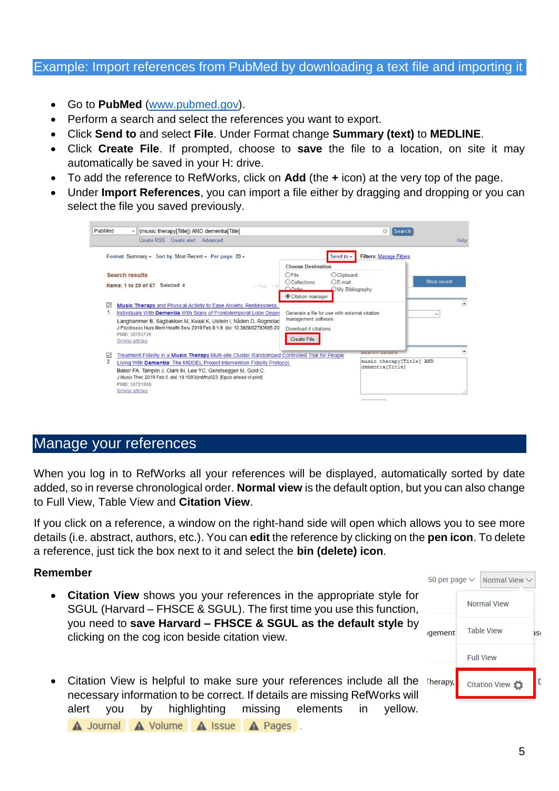#### Example: Import references from PubMed by downloading a text file and importing it

- Go to **PubMed** [\(www.pubmed.gov\)](http://www.pubmed.gov/).
- Perform a search and select the references you want to export.
- Click **Send to** and select **File**. Under Format change **Summary (text)** to **MEDLINE**.
- Click **Create File**. If prompted, choose to **save** the file to a location, on site it may automatically be saved in your H: drive.
- To add the reference to RefWorks, click on **Add** (the **+** icon) at the very top of the page.
- Under **Import References**, you can import a file either by dragging and dropping or you can select the file you saved previously.

| PubMed<br>(music therapy[Title]) AND dementia[Title]<br>$\vee$                                                                                                                                                                                                                                                                                                    | Ø<br>Search                                                                                                                                                         |
|-------------------------------------------------------------------------------------------------------------------------------------------------------------------------------------------------------------------------------------------------------------------------------------------------------------------------------------------------------------------|---------------------------------------------------------------------------------------------------------------------------------------------------------------------|
| Create RSS Create alert Advanced                                                                                                                                                                                                                                                                                                                                  | Help                                                                                                                                                                |
| Format: Summary - Sort by: Most Recent - Per page: 20 -                                                                                                                                                                                                                                                                                                           | <b>Filters: Manage Filters</b><br>Send to $\sim$                                                                                                                    |
| <b>Search results</b><br>Items: 1 to 20 of 67 Selected: 4<br>$<<$ First $<$ Pri                                                                                                                                                                                                                                                                                   | <b>Choose Destination</b><br>$O$ File<br><b>O</b> Clipboard<br>Most recent<br>$OE-mail$<br><b>OCollections</b><br>$O$ Order<br>OMy Bibliography<br>Citation manager |
| <b>Music Therapy and Physical Activity to Ease Anxiety, Restlessness,</b><br>$\vee$<br>1<br>Individuals With Dementia With Signs of Frontotemporal Lobe Deger<br>Langhammer B, Sagbakken M, Kvaal K, Ulstein I, Nåden D, Rognstad<br>J Psychosoc Nurs Ment Health Serv. 2019 Feb 8:1-9. doi: 10.3928/02793695-20<br>PMID: 30753735<br>Similar articles            | ×<br>Generate a file for use with external citation<br>$\checkmark$<br>management software.<br>Download 4 citations.<br><b>Create File</b>                          |
| ▽<br>Treatment Fidelity in a Music Therapy Multi-site Cluster Randomized Controlled Trial for People<br>$\overline{2}$<br>Living With Dementia: The MIDDEL Project Intervention Fidelity Protocol.<br>Baker FA, Tamplin J, Clark IN, Lee YC, Geretsegger M, Gold C.<br>J Music Ther. 2019 Feb 5. doi: 10.1093/jmt/thy023. [Epub ahead of print]<br>PMID: 30721998 | A<br>Search details<br>music therapy[Title] AND<br>dementia [Title]                                                                                                 |
| Similar articles                                                                                                                                                                                                                                                                                                                                                  |                                                                                                                                                                     |

## Manage your references

When you log in to RefWorks all your references will be displayed, automatically sorted by date added, so in reverse chronological order. **Normal view** is the default option, but you can also change to Full View, Table View and **Citation View**.

If you click on a reference, a window on the right-hand side will open which allows you to see more details (i.e. abstract, authors, etc.). You can **edit** the reference by clicking on the **pen icon**. To delete a reference, just tick the box next to it and select the **bin (delete) icon**.

#### **Remember**

- **Citation View** shows you your references in the appropriate style for SGUL (Harvard – FHSCE & SGUL). The first time you use this function, you need to **save Harvard – FHSCE & SGUL as the default style** by clicking on the cog icon beside citation view.
- Citation View is helpful to make sure your references include all the Therapy, necessary information to be correct. If details are missing RefWorks will alert you by highlighting missing elements in yellow.

A Journal A Volume A Issue A Pages.

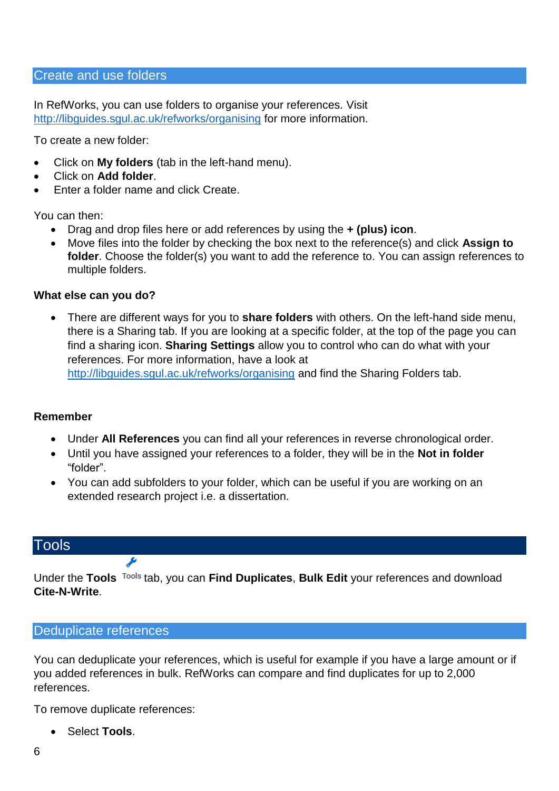#### Create and use folders

In RefWorks, you can use folders to organise your references. Visit <http://libguides.sgul.ac.uk/refworks/organising> for more information.

To create a new folder:

- Click on **My folders** (tab in the left-hand menu).
- Click on **Add folder**.
- Enter a folder name and click Create.

You can then:

- Drag and drop files here or add references by using the **+ (plus) icon**.
- Move files into the folder by checking the box next to the reference(s) and click **Assign to folder**. Choose the folder(s) you want to add the reference to. You can assign references to multiple folders.

#### **What else can you do?**

• There are different ways for you to **share folders** with others. On the left-hand side menu, there is a Sharing tab. If you are looking at a specific folder, at the top of the page you can find a sharing icon. **Sharing Settings** allow you to control who can do what with your references. For more information, have a look at <http://libguides.sgul.ac.uk/refworks/organising> and find the Sharing Folders tab.

**Remember**

- Under **All References** you can find all your references in reverse chronological order.
- Until you have assigned your references to a folder, they will be in the **Not in folder**  "folder".
- You can add subfolders to your folder, which can be useful if you are working on an extended research project i.e. a dissertation.

## **Tools**

Under the **Tools** tab, you can **Find Duplicates**, **Bulk Edit** your references and download **Cite-N-Write**.

#### Deduplicate references

ىۋ

You can deduplicate your references, which is useful for example if you have a large amount or if you added references in bulk. RefWorks can compare and find duplicates for up to 2,000 references.

To remove duplicate references:

• Select **Tools**.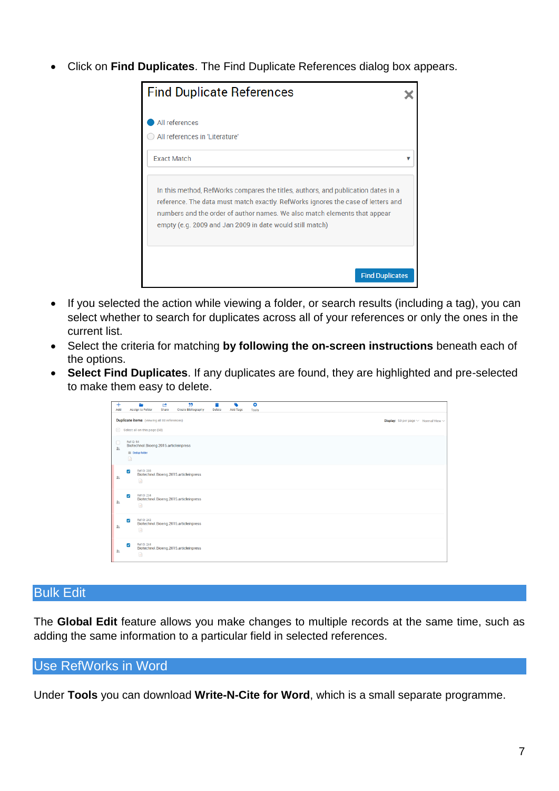• Click on **Find Duplicates**. The Find Duplicate References dialog box appears.

| <b>Find Duplicate References</b>                                                                                                                                                                                                                                                                               |  |
|----------------------------------------------------------------------------------------------------------------------------------------------------------------------------------------------------------------------------------------------------------------------------------------------------------------|--|
| All references                                                                                                                                                                                                                                                                                                 |  |
| All references in 'Literature'<br><b>Exact Match</b>                                                                                                                                                                                                                                                           |  |
| In this method, RefWorks compares the titles, authors, and publication dates in a<br>reference. The data must match exactly. RefWorks ignores the case of letters and<br>numbers and the order of author names. We also match elements that appear<br>empty (e.g. 2009 and Jan 2009 in date would still match) |  |
| <b>Find Duplicates</b>                                                                                                                                                                                                                                                                                         |  |

- If you selected the action while viewing a folder, or search results (including a tag), you can select whether to search for duplicates across all of your references or only the ones in the current list.
- Select the criteria for matching **by following the on-screen instructions** beneath each of the options.
- **Select Find Duplicates**. If any duplicates are found, they are highlighted and pre-selected to make them easy to delete.

| $\pm$<br>Add           |                                                                                                             | <b>Assign to Folder</b>               | ඦ<br>Share | 99<br><b>Create Bibliography</b>      | Delete | <b>Add Tags</b> | ö<br>Tools |  |  |  |
|------------------------|-------------------------------------------------------------------------------------------------------------|---------------------------------------|------------|---------------------------------------|--------|-----------------|------------|--|--|--|
|                        | <b>Duplicate items</b> (viewing all 88 references)<br><b>Display:</b> 50 per page $\vee$ Normal View $\vee$ |                                       |            |                                       |        |                 |            |  |  |  |
|                        | $\equiv$ Select all on this page (50)                                                                       |                                       |            |                                       |        |                 |            |  |  |  |
| $\Box$<br>$\mathbf{1}$ | Ref ID: 54                                                                                                  | Biotechnol.Bioeng.2015.articleinpress |            |                                       |        |                 |            |  |  |  |
|                        | $\Box$                                                                                                      | <b>Ell</b> Dedup folder               |            |                                       |        |                 |            |  |  |  |
| 圡                      | $\overline{\mathcal{L}}$                                                                                    | Ref ID: 208                           |            | Biotechnol.Bioeng.2015.articleinpress |        |                 |            |  |  |  |
|                        |                                                                                                             | $\Box$                                |            |                                       |        |                 |            |  |  |  |
| 圡                      | ☑                                                                                                           | Ref ID: 234<br>$\Box$                 |            | Biotechnol.Bioeng.2015.articleinpress |        |                 |            |  |  |  |
|                        | $\overline{\mathcal{L}}$                                                                                    | Ref ID: 242                           |            | Biotechnol.Bioeng.2015.articleinpress |        |                 |            |  |  |  |
| 圡                      |                                                                                                             | $\Box$                                |            |                                       |        |                 |            |  |  |  |
| 圡                      | $\overline{\mathcal{L}}$                                                                                    | Ref ID: 244<br>$\Box$                 |            | Biotechnol.Bioeng.2015.articleinpress |        |                 |            |  |  |  |

## Bulk Edit

The **Global Edit** feature allows you make changes to multiple records at the same time, such as adding the same information to a particular field in selected references.

#### Use RefWorks in Word

Under **Tools** you can download **Write-N-Cite for Word**, which is a small separate programme.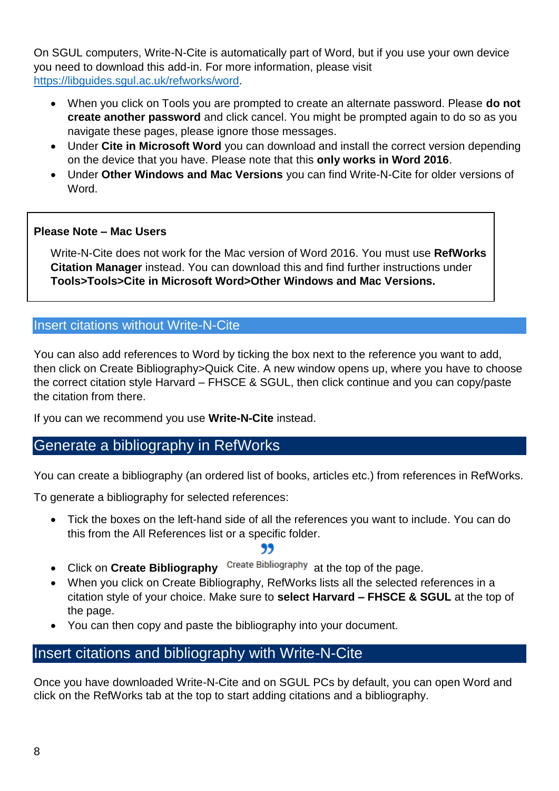On SGUL computers, Write-N-Cite is automatically part of Word, but if you use your own device you need to download this add-in. For more information, please visit [https://libguides.sgul.ac.uk/refworks/word.](https://libguides.sgul.ac.uk/refworks/word)

- When you click on Tools you are prompted to create an alternate password. Please **do not create another password** and click cancel. You might be prompted again to do so as you navigate these pages, please ignore those messages.
- Under **Cite in Microsoft Word** you can download and install the correct version depending on the device that you have. Please note that this **only works in Word 2016**.
- Under **Other Windows and Mac Versions** you can find Write-N-Cite for older versions of Word.

### **Please Note – Mac Users**

Write-N-Cite does not work for the Mac version of Word 2016. You must use **RefWorks Citation Manager** instead. You can download this and find further instructions under **Tools>Tools>Cite in Microsoft Word>Other Windows and Mac Versions.**

## Insert citations without Write-N-Cite

You can also add references to Word by ticking the box next to the reference you want to add, then click on Create Bibliography>Quick Cite. A new window opens up, where you have to choose the correct citation style Harvard – FHSCE & SGUL, then click continue and you can copy/paste the citation from there.

If you can we recommend you use **Write-N-Cite** instead.

# Generate a bibliography in RefWorks

You can create a bibliography (an ordered list of books, articles etc.) from references in RefWorks.

To generate a bibliography for selected references:

• Tick the boxes on the left-hand side of all the references you want to include. You can do this from the All References list or a specific folder.

## 99

- Click on **Create Bibliography** Create Bibliography at the top of the page.
- When you click on Create Bibliography, RefWorks lists all the selected references in a citation style of your choice. Make sure to **select Harvard – FHSCE & SGUL** at the top of the page.
- You can then copy and paste the bibliography into your document.

# Insert citations and bibliography with Write-N-Cite

Once you have downloaded Write-N-Cite and on SGUL PCs by default, you can open Word and click on the RefWorks tab at the top to start adding citations and a bibliography.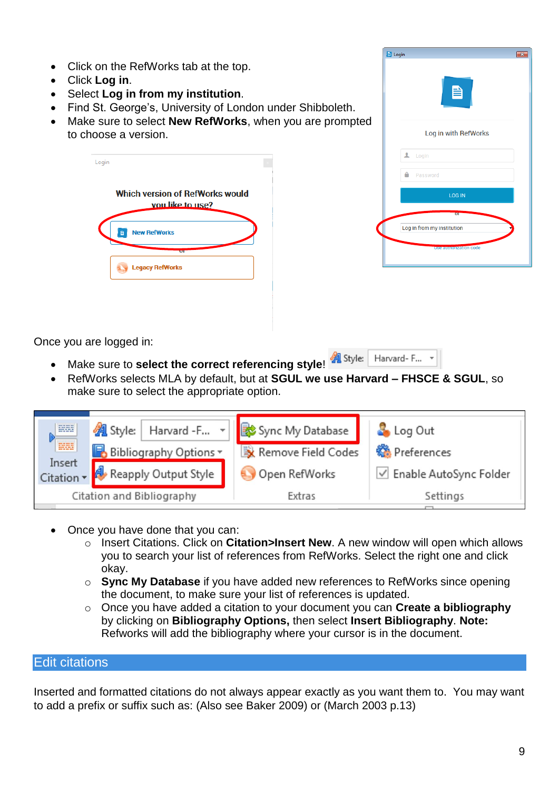- Click on the RefWorks tab at the top.
- Click **Log in**.
- Select **Log in from my institution**.
- Find St. George's, University of London under Shibboleth.
- Make sure to select **New RefWorks**, when you are prompted to choose a version.

| Login |                                                            |  |
|-------|------------------------------------------------------------|--|
|       | <b>Which version of RefWorks would</b><br>vou like to use? |  |
|       | <b>New RefWorks</b>                                        |  |
|       | <b>STATE</b><br><b>Legacy RefWorks</b>                     |  |

| $\mathbf{x}$ |
|--------------|
|              |
|              |
|              |
|              |
|              |
|              |
|              |
|              |

Once you are logged in:

- Make sure to **select the correct referencing style!** Harvard-F...
- RefWorks selects MLA by default, but at **SGUL we use Harvard – FHSCE & SGUL**, so make sure to select the appropriate option.



- Once you have done that you can:
	- o Insert Citations. Click on **Citation>Insert New**. A new window will open which allows you to search your list of references from RefWorks. Select the right one and click okay.
	- o **Sync My Database** if you have added new references to RefWorks since opening the document, to make sure your list of references is updated.
	- o Once you have added a citation to your document you can **Create a bibliography** by clicking on **Bibliography Options,** then select **Insert Bibliography**. **Note:**  Refworks will add the bibliography where your cursor is in the document.

#### Edit citations

Inserted and formatted citations do not always appear exactly as you want them to. You may want to add a prefix or suffix such as: (Also see Baker 2009) or (March 2003 p.13)